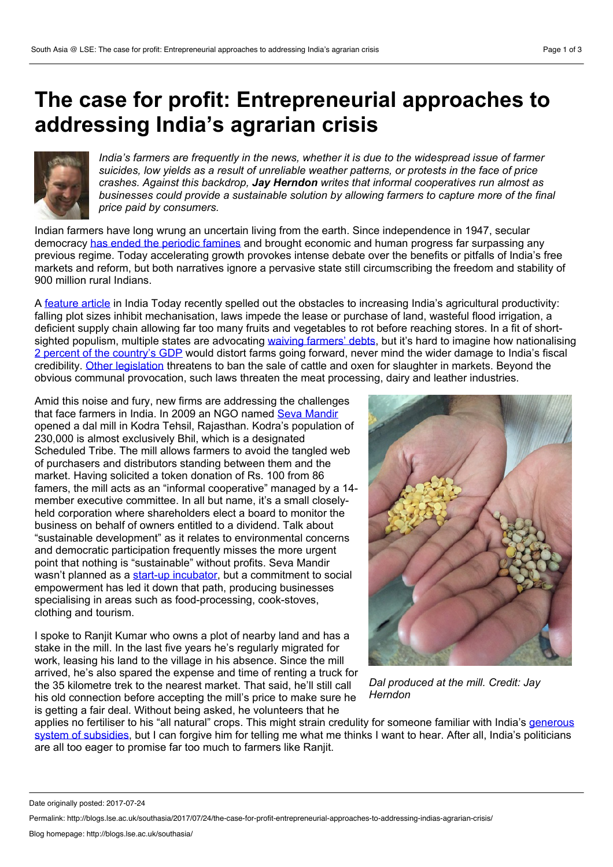## **The case for profit: Entrepreneurial approaches to addressing India's agrarian crisis**



*India's farmers are frequently in the news, whether itis due to the widespread issue of farmer suicides, low yields as a result of unreliable weather patterns, or protests in the face of price crashes. Against this backdrop, Jay Herndon writes that informal cooperatives run almost as businesses could provide a sustainable solution by allowing farmers to capture more of the final price paid by consumers.*

Indian farmers have long wrung an uncertain living from the earth. Since independence in 1947, secular democracy has ended the [periodic](https://www.unicef.org/socialpolicy/files/Democracy_as_a_Universal_Value.pdf) famines and brought economic and human progress far surpassing any previous regime. Today accelerating growth provokes intense debate over the benefits or pitfalls of India's free markets and reform, but both narratives ignore a pervasive state still circumscribing the freedom and stability of 900 million rural Indians.

A [feature](http://indiatoday.intoday.in/story/farmer-loans-waive-state-governments-economic-consequences-gdp/1/967992.html) article in India Today recently spelled out the obstacles to increasing India's agricultural productivity: falling plot sizes inhibit mechanisation, laws impede the lease or purchase of land, wasteful flood irrigation, a deficient supply chain allowing far too many fruits and vegetables to rot before reaching stores. In a fit of short sighted populism, multiple states are advocating waiving [farmers'](https://www.ft.com/content/b9aaec76-4b45-11e7-919a-1e14ce4af89b) debts, but it's hard to imagine how nationalising 2 percent of the [country's](http://www.livemint.com/Politics/5X4vYXiClSRY24hknE3OxO/Farm-loan-waivers-to-be-2-of-GDP-by-2019-polls-BofAML.html) GDP would distort farms going forward, never mind the wider damage to India's fiscal credibility. Other [legislation](http://indiatoday.intoday.in/story/cattle-slaughter-notificiation-economic-consequences-protest-south/1/967990.html) threatens to ban the sale of cattle and oxen for slaughter in markets. Beyond the obvious communal provocation, such laws threaten the meat processing, dairy and leather industries.

Amid this noise and fury, new firms are addressing the challenges that face farmers in India. In 2009 an NGO named Seva [Mandir](http://www.sevamandir.org/) opened a dal mill in Kodra Tehsil, Rajasthan. Kodra's population of 230,000 is almost exclusively Bhil, which is a designated Scheduled Tribe. The mill allows farmers to avoid the tangled web of purchasers and distributors standing between them and the market. Having solicited a token donation of Rs. 100 from 86 famers, the mill acts as an "informal cooperative" managed by <sup>a</sup> 14-member executive committee. In all but name, it's <sup>a</sup> small closely held corporation where shareholders elect a board to monitor the business on behalf of owners entitled to a dividend.Talk about "sustainable development" as it relates to environmental concerns and democratic participation frequently misses the more urgent point that nothing is "sustainable" without profits. Seva Mandir wasn't planned as a start-up [incubator](http://www.sevamandir.org/social-enterprises), but a commitment to social empowerment has led it down that path, producing businesses specialising in areas such as food-processing, cook-stoves, clothing and tourism.

I spoke to Ranjit Kumar who owns a plot of nearby land and has a stake in the mill. In the last five years he's regularly migrated for work, leasing his land to the village in his absence. Since the mill arrived, he's also spared the expense and time of renting a truck for the 35 kilometre trek to the nearest market. That said, he'll still call his old connection before accepting the mill's price to make sure he is getting a fair deal. Without being asked, he volunteers that he



*Dal produced at the mill. Credit: Jay Herndon*

applies no fertiliser to his "all natural" crops. This might strain credulity for someone familiar with India's generous system of subsidies, but I can forgive him for telling me what me thinks I want to hear. After all, India's politicians are all too eager to promise far too much to farmers like Ranjit.

Date originally posted: 2017-07-24

Permalink: http://blogs.lse.ac.uk/southasia/2017/07/24/the-case-for-profit-entrepreneurial-approaches-to-addressing-indias-agrarian-crisis/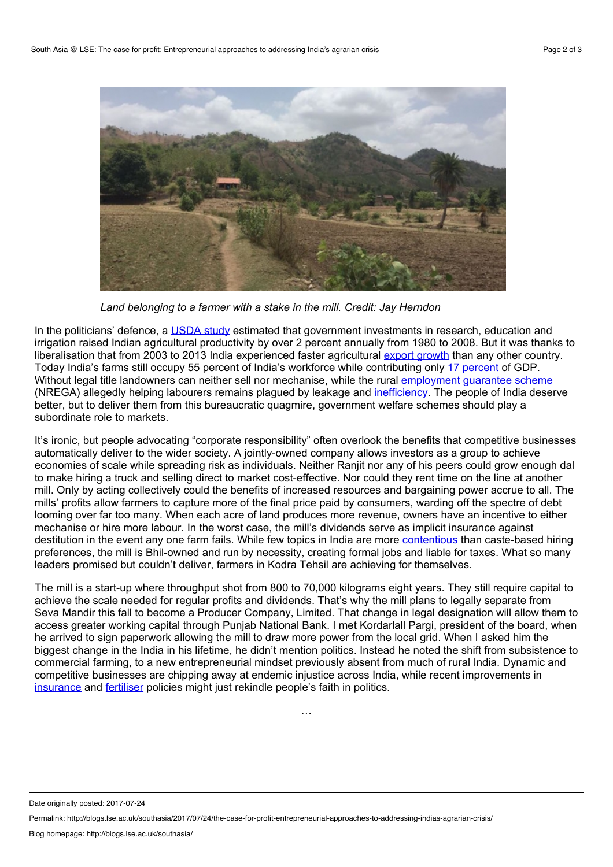

*Land belonging to a farmer with a stake in the mill. Credit: Jay Herndon*

In the politicians' defence, a [USDA](https://www.ers.usda.gov/mediaImport/1957187/err-203.pdf) study estimated that government investments in research, education and irrigation raised Indian agricultural productivity by over 2 percent annually from 1980 to 2008. But it was thanks to liberalisation that from 2003 to 2013 India experienced faster agricultural export [growth](https://www.fas.usda.gov/data/india-s-agricultural-exports-climb-record-high) than any other country. Today India's farms still occupy 55 percent of India's workforce while contributing only 17 [percent](http://indiatoday.intoday.in/story/farmer-loans-waive-state-governments-economic-consequences-gdp/1/967992.html) of GDP. Without legal title landowners can neither sell nor mechanise, while the rural [employment](http://www.nrega.nic.in/netnrega/home.aspx) guarantee scheme (NREGA) allegedly helping labourers remains plagued by leakage and [inefficiency](http://blogs.timesofindia.indiatimes.com/toi-edit-page/rural-inefficiency-act-despite-protests-about-diluting-nrega-the-pm-is-right-to-confine-it-to-200-poorest-districts/). The people of India deserve better, but to deliver them from this bureaucratic quagmire, government welfare schemes should play a subordinate role to markets.

It's ironic, but people advocating "corporate responsibility" often overlook the benefits that competitive businesses automatically deliver to the wider society. A jointly-owned company allows investors as a group to achieve economies of scale while spreading risk as individuals. Neither Ranjit nor any of his peers could grow enough dal to make hiring a truck and selling direct to market cost-effective. Nor could they rent time on the line at another mill. Only by acting collectively could the benefits of increased resources and bargaining power accrue to all. The mills' profits allow farmers to capture more of the final price paid by consumers, warding off the spectre of debt looming over far too many. When each acre of land produces more revenue, owners have an incentive to either mechanise or hire more labour. In the worst case, the mill's dividends serve as implicit insurance against destitution in the event any one farm fails. While few topics in India are more [contentious](http://www.aljazeera.com/indepth/opinion/2015/08/affirmative-action-india-150829083614239.html) than caste-based hiring preferences, the mill is Bhil-owned and run by necessity, creating formal jobs and liable for taxes.What so many leaders promised but couldn't deliver, farmers in Kodra Tehsil are achieving for themselves.

The mill is a start-up where throughput shot from 800 to 70,000 kilograms eight years. They still require capital to achieve the scale needed for regular profits and dividends. That's why the mill plans to legally separate from Seva Mandir this fall to become a Producer Company, Limited. That change in legal designation will allow them to access greater working capital through Punjab National Bank. I met Kordarlall Pargi, president of the board, when he arrived to sign paperwork allowing the mill to draw more power from the local grid. When I asked him the biggest change in the India in his lifetime, he didn't mention politics. Instead he noted the shift from subsistence to commercial farming, to a new entrepreneurial mindset previously absent from much of rural India. Dynamic and competitive businesses are chipping away at endemic injustice across India, while recent improvements in [insurance](http://www.deccanherald.com/content/622022/farmers-urged-insure-crops-fasal.html) and [fertiliser](http://indianexpress.com/article/india/india-fertiliser-sales-foodgrain-output-narendra-modi-neem-urea-4581174/) policies might just rekindle people's faith in politics.

…

Date originally posted: 2017-07-24

Permalink: http://blogs.lse.ac.uk/southasia/2017/07/24/the-case-for-profit-entrepreneurial-approaches-to-addressing-indias-agrarian-crisis/